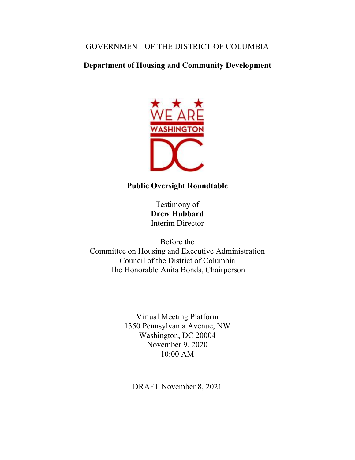## GOVERNMENT OF THE DISTRICT OF COLUMBIA

# **Department of Housing and Community Development**



## **Public Oversight Roundtable**

Testimony of **Drew Hubbard** Interim Director

Before the Committee on Housing and Executive Administration Council of the District of Columbia The Honorable Anita Bonds, Chairperson

> Virtual Meeting Platform 1350 Pennsylvania Avenue, NW Washington, DC 20004 November 9, 2020 10:00 AM

DRAFT November 8, 2021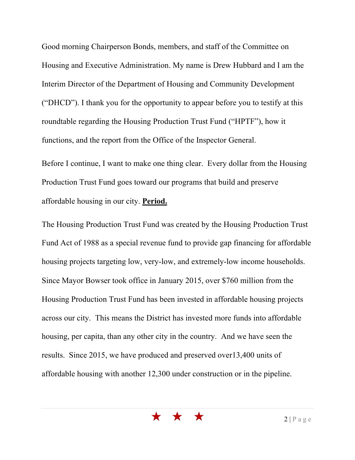Good morning Chairperson Bonds, members, and staff of the Committee on Housing and Executive Administration. My name is Drew Hubbard and I am the Interim Director of the Department of Housing and Community Development ("DHCD"). I thank you for the opportunity to appear before you to testify at this roundtable regarding the Housing Production Trust Fund ("HPTF"), how it functions, and the report from the Office of the Inspector General.

Before I continue, I want to make one thing clear. Every dollar from the Housing Production Trust Fund goes toward our programs that build and preserve affordable housing in our city. **Period.**

The Housing Production Trust Fund was created by the Housing Production Trust Fund Act of 1988 as a special revenue fund to provide gap financing for affordable housing projects targeting low, very-low, and extremely-low income households. Since Mayor Bowser took office in January 2015, over \$760 million from the Housing Production Trust Fund has been invested in affordable housing projects across our city. This means the District has invested more funds into affordable housing, per capita, than any other city in the country. And we have seen the results. Since 2015, we have produced and preserved over13,400 units of affordable housing with another 12,300 under construction or in the pipeline.

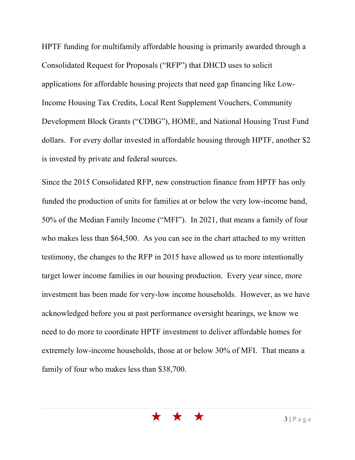HPTF funding for multifamily affordable housing is primarily awarded through a Consolidated Request for Proposals ("RFP") that DHCD uses to solicit applications for affordable housing projects that need gap financing like Low-Income Housing Tax Credits, Local Rent Supplement Vouchers, Community Development Block Grants ("CDBG"), HOME, and National Housing Trust Fund dollars. For every dollar invested in affordable housing through HPTF, another \$2 is invested by private and federal sources.

Since the 2015 Consolidated RFP, new construction finance from HPTF has only funded the production of units for families at or below the very low-income band, 50% of the Median Family Income ("MFI"). In 2021, that means a family of four who makes less than \$64,500. As you can see in the chart attached to my written testimony, the changes to the RFP in 2015 have allowed us to more intentionally target lower income families in our housing production. Every year since, more investment has been made for very-low income households. However, as we have acknowledged before you at past performance oversight hearings, we know we need to do more to coordinate HPTF investment to deliver affordable homes for extremely low-income households, those at or below 30% of MFI. That means a family of four who makes less than \$38,700.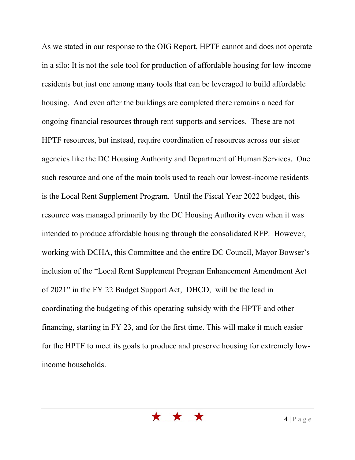As we stated in our response to the OIG Report, HPTF cannot and does not operate in a silo: It is not the sole tool for production of affordable housing for low-income residents but just one among many tools that can be leveraged to build affordable housing. And even after the buildings are completed there remains a need for ongoing financial resources through rent supports and services. These are not HPTF resources, but instead, require coordination of resources across our sister agencies like the DC Housing Authority and Department of Human Services. One such resource and one of the main tools used to reach our lowest-income residents is the Local Rent Supplement Program. Until the Fiscal Year 2022 budget, this resource was managed primarily by the DC Housing Authority even when it was intended to produce affordable housing through the consolidated RFP. However, working with DCHA, this Committee and the entire DC Council, Mayor Bowser's inclusion of the "Local Rent Supplement Program Enhancement Amendment Act of 2021" in the FY 22 Budget Support Act, DHCD, will be the lead in coordinating the budgeting of this operating subsidy with the HPTF and other financing, starting in FY 23, and for the first time. This will make it much easier for the HPTF to meet its goals to produce and preserve housing for extremely lowincome households.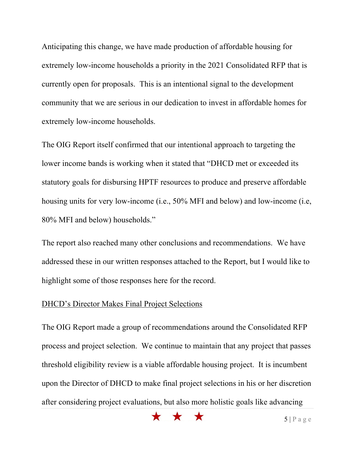Anticipating this change, we have made production of affordable housing for extremely low-income households a priority in the 2021 Consolidated RFP that is currently open for proposals. This is an intentional signal to the development community that we are serious in our dedication to invest in affordable homes for extremely low-income households.

The OIG Report itself confirmed that our intentional approach to targeting the lower income bands is working when it stated that "DHCD met or exceeded its statutory goals for disbursing HPTF resources to produce and preserve affordable housing units for very low-income (i.e., 50% MFI and below) and low-income (i.e, 80% MFI and below) households."

The report also reached many other conclusions and recommendations. We have addressed these in our written responses attached to the Report, but I would like to highlight some of those responses here for the record.

#### DHCD's Director Makes Final Project Selections

The OIG Report made a group of recommendations around the Consolidated RFP process and project selection. We continue to maintain that any project that passes threshold eligibility review is a viable affordable housing project. It is incumbent upon the Director of DHCD to make final project selections in his or her discretion after considering project evaluations, but also more holistic goals like advancing

\* \* \*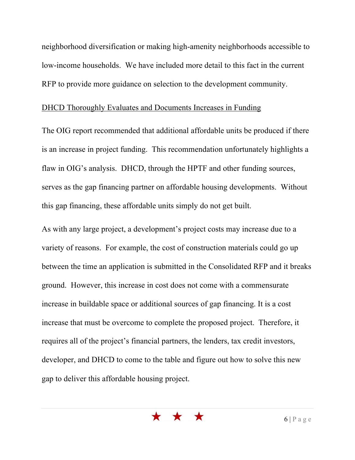neighborhood diversification or making high-amenity neighborhoods accessible to low-income households. We have included more detail to this fact in the current RFP to provide more guidance on selection to the development community.

#### DHCD Thoroughly Evaluates and Documents Increases in Funding

The OIG report recommended that additional affordable units be produced if there is an increase in project funding. This recommendation unfortunately highlights a flaw in OIG's analysis. DHCD, through the HPTF and other funding sources, serves as the gap financing partner on affordable housing developments. Without this gap financing, these affordable units simply do not get built.

As with any large project, a development's project costs may increase due to a variety of reasons. For example, the cost of construction materials could go up between the time an application is submitted in the Consolidated RFP and it breaks ground. However, this increase in cost does not come with a commensurate increase in buildable space or additional sources of gap financing. It is a cost increase that must be overcome to complete the proposed project. Therefore, it requires all of the project's financial partners, the lenders, tax credit investors, developer, and DHCD to come to the table and figure out how to solve this new gap to deliver this affordable housing project.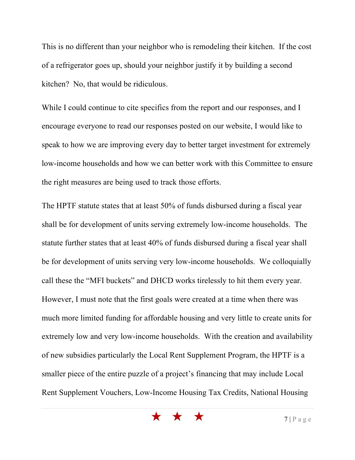This is no different than your neighbor who is remodeling their kitchen. If the cost of a refrigerator goes up, should your neighbor justify it by building a second kitchen? No, that would be ridiculous.

While I could continue to cite specifics from the report and our responses, and I encourage everyone to read our responses posted on our website, I would like to speak to how we are improving every day to better target investment for extremely low-income households and how we can better work with this Committee to ensure the right measures are being used to track those efforts.

The HPTF statute states that at least 50% of funds disbursed during a fiscal year shall be for development of units serving extremely low-income households. The statute further states that at least 40% of funds disbursed during a fiscal year shall be for development of units serving very low-income households. We colloquially call these the "MFI buckets" and DHCD works tirelessly to hit them every year. However, I must note that the first goals were created at a time when there was much more limited funding for affordable housing and very little to create units for extremely low and very low-income households. With the creation and availability of new subsidies particularly the Local Rent Supplement Program, the HPTF is a smaller piece of the entire puzzle of a project's financing that may include Local Rent Supplement Vouchers, Low-Income Housing Tax Credits, National Housing

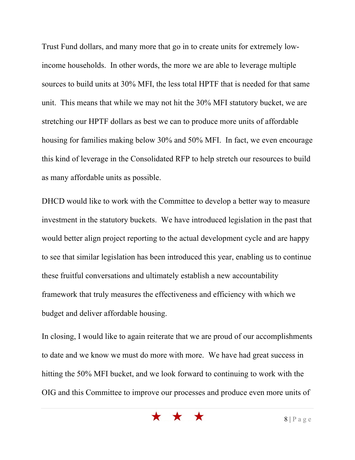Trust Fund dollars, and many more that go in to create units for extremely lowincome households. In other words, the more we are able to leverage multiple sources to build units at 30% MFI, the less total HPTF that is needed for that same unit. This means that while we may not hit the 30% MFI statutory bucket, we are stretching our HPTF dollars as best we can to produce more units of affordable housing for families making below 30% and 50% MFI. In fact, we even encourage this kind of leverage in the Consolidated RFP to help stretch our resources to build as many affordable units as possible.

DHCD would like to work with the Committee to develop a better way to measure investment in the statutory buckets. We have introduced legislation in the past that would better align project reporting to the actual development cycle and are happy to see that similar legislation has been introduced this year, enabling us to continue these fruitful conversations and ultimately establish a new accountability framework that truly measures the effectiveness and efficiency with which we budget and deliver affordable housing.

In closing, I would like to again reiterate that we are proud of our accomplishments to date and we know we must do more with more. We have had great success in hitting the 50% MFI bucket, and we look forward to continuing to work with the OIG and this Committee to improve our processes and produce even more units of